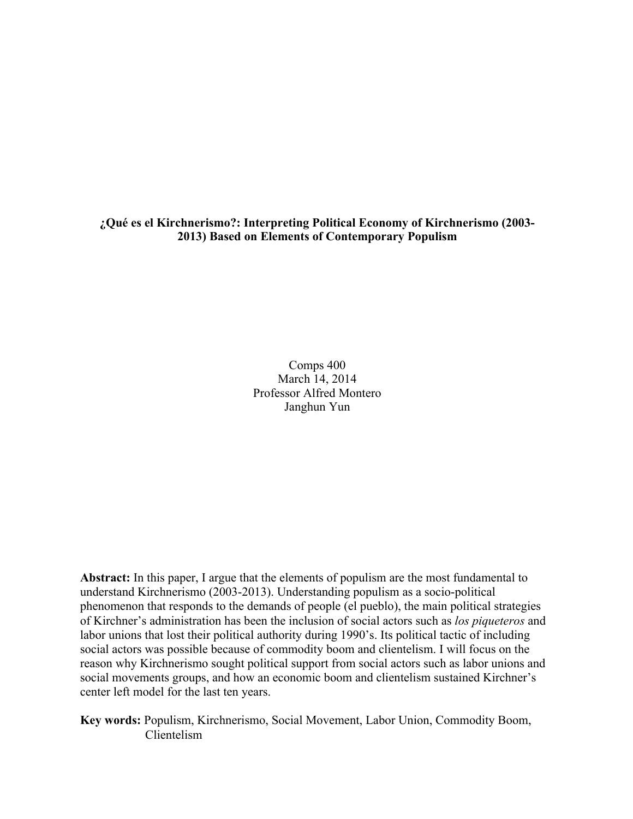**¿Qué es el Kirchnerismo?: Interpreting Political Economy of Kirchnerismo (2003- 2013) Based on Elements of Contemporary Populism** 

> Comps 400 March 14, 2014 Professor Alfred Montero Janghun Yun

**Abstract:** In this paper, I argue that the elements of populism are the most fundamental to understand Kirchnerismo (2003-2013). Understanding populism as a socio-political phenomenon that responds to the demands of people (el pueblo), the main political strategies of Kirchner's administration has been the inclusion of social actors such as *los piqueteros* and labor unions that lost their political authority during 1990's. Its political tactic of including social actors was possible because of commodity boom and clientelism. I will focus on the reason why Kirchnerismo sought political support from social actors such as labor unions and social movements groups, and how an economic boom and clientelism sustained Kirchner's center left model for the last ten years.

**Key words:** Populism, Kirchnerismo, Social Movement, Labor Union, Commodity Boom, Clientelism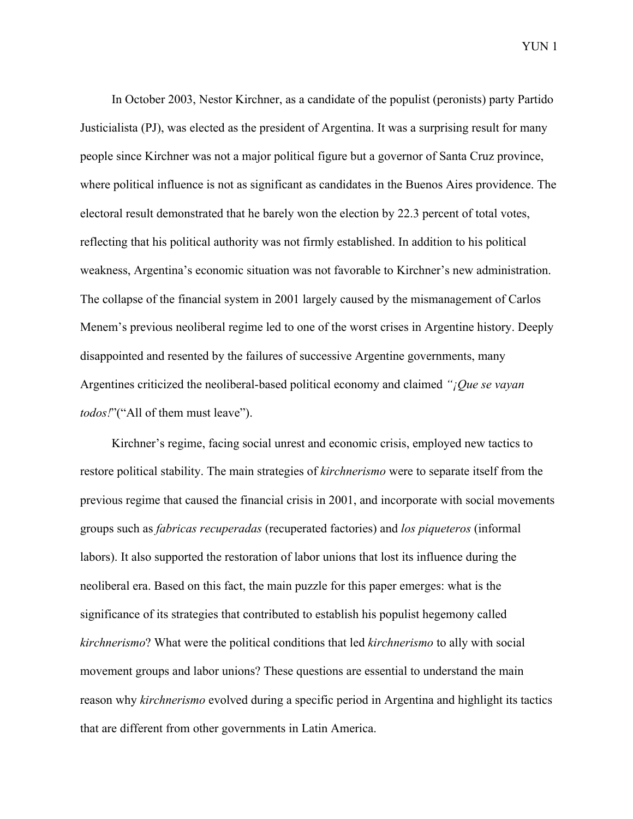In October 2003, Nestor Kirchner, as a candidate of the populist (peronists) party Partido Justicialista (PJ), was elected as the president of Argentina. It was a surprising result for many people since Kirchner was not a major political figure but a governor of Santa Cruz province, where political influence is not as significant as candidates in the Buenos Aires providence. The electoral result demonstrated that he barely won the election by 22.3 percent of total votes, reflecting that his political authority was not firmly established. In addition to his political weakness, Argentina's economic situation was not favorable to Kirchner's new administration. The collapse of the financial system in 2001 largely caused by the mismanagement of Carlos Menem's previous neoliberal regime led to one of the worst crises in Argentine history. Deeply disappointed and resented by the failures of successive Argentine governments, many Argentines criticized the neoliberal-based political economy and claimed *"¡Que se vayan todos!*"("All of them must leave").

Kirchner's regime, facing social unrest and economic crisis, employed new tactics to restore political stability. The main strategies of *kirchnerismo* were to separate itself from the previous regime that caused the financial crisis in 2001, and incorporate with social movements groups such as *fabricas recuperadas* (recuperated factories) and *los piqueteros* (informal labors). It also supported the restoration of labor unions that lost its influence during the neoliberal era. Based on this fact, the main puzzle for this paper emerges: what is the significance of its strategies that contributed to establish his populist hegemony called *kirchnerismo*? What were the political conditions that led *kirchnerismo* to ally with social movement groups and labor unions? These questions are essential to understand the main reason why *kirchnerismo* evolved during a specific period in Argentina and highlight its tactics that are different from other governments in Latin America.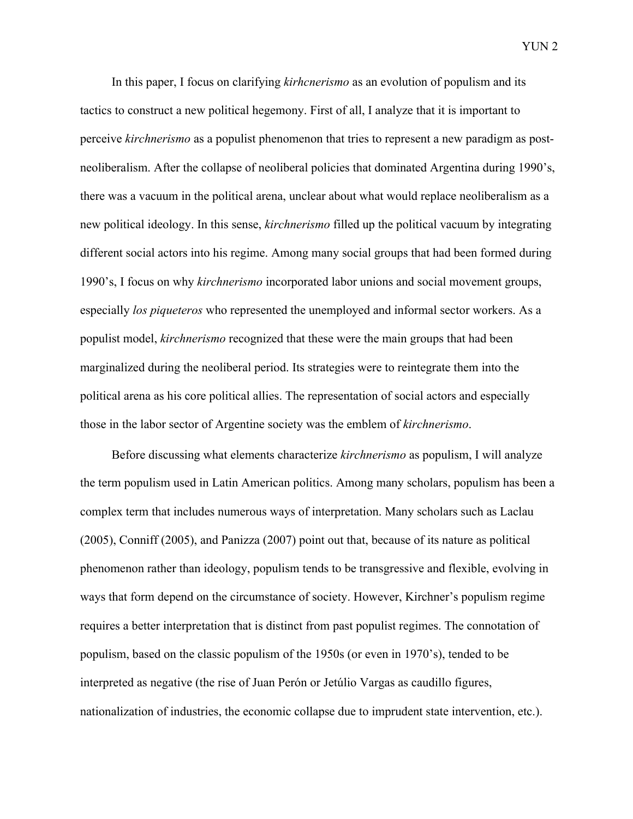In this paper, I focus on clarifying *kirhcnerismo* as an evolution of populism and its tactics to construct a new political hegemony. First of all, I analyze that it is important to perceive *kirchnerismo* as a populist phenomenon that tries to represent a new paradigm as postneoliberalism. After the collapse of neoliberal policies that dominated Argentina during 1990's, there was a vacuum in the political arena, unclear about what would replace neoliberalism as a new political ideology. In this sense, *kirchnerismo* filled up the political vacuum by integrating different social actors into his regime. Among many social groups that had been formed during 1990's, I focus on why *kirchnerismo* incorporated labor unions and social movement groups, especially *los piqueteros* who represented the unemployed and informal sector workers. As a populist model, *kirchnerismo* recognized that these were the main groups that had been marginalized during the neoliberal period. Its strategies were to reintegrate them into the political arena as his core political allies. The representation of social actors and especially those in the labor sector of Argentine society was the emblem of *kirchnerismo*.

Before discussing what elements characterize *kirchnerismo* as populism, I will analyze the term populism used in Latin American politics. Among many scholars, populism has been a complex term that includes numerous ways of interpretation. Many scholars such as Laclau (2005), Conniff (2005), and Panizza (2007) point out that, because of its nature as political phenomenon rather than ideology, populism tends to be transgressive and flexible, evolving in ways that form depend on the circumstance of society. However, Kirchner's populism regime requires a better interpretation that is distinct from past populist regimes. The connotation of populism, based on the classic populism of the 1950s (or even in 1970's), tended to be interpreted as negative (the rise of Juan Perón or Jetúlio Vargas as caudillo figures, nationalization of industries, the economic collapse due to imprudent state intervention, etc.).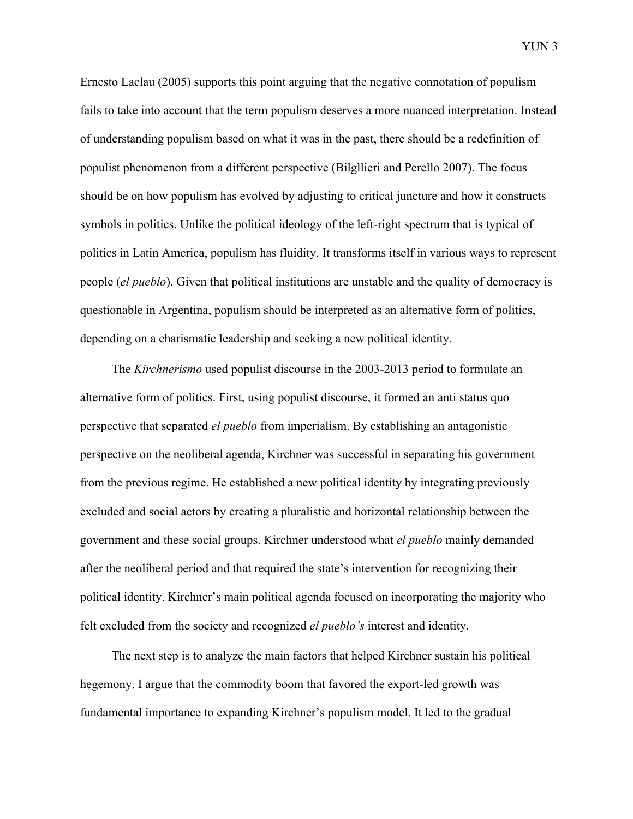Ernesto Laclau (2005) supports this point arguing that the negative connotation of populism fails to take into account that the term populism deserves a more nuanced interpretation. Instead of understanding populism based on what it was in the past, there should be a redefinition of populist phenomenon from a different perspective (Bilgllieri and Perello 2007). The focus should be on how populism has evolved by adjusting to critical juncture and how it constructs symbols in politics. Unlike the political ideology of the left-right spectrum that is typical of politics in Latin America, populism has fluidity. It transforms itself in various ways to represent people (*el pueblo*). Given that political institutions are unstable and the quality of democracy is questionable in Argentina, populism should be interpreted as an alternative form of politics, depending on a charismatic leadership and seeking a new political identity.

The *Kirchnerismo* used populist discourse in the 2003-2013 period to formulate an alternative form of politics. First, using populist discourse, it formed an anti status quo perspective that separated *el pueblo* from imperialism. By establishing an antagonistic perspective on the neoliberal agenda, Kirchner was successful in separating his government from the previous regime. He established a new political identity by integrating previously excluded and social actors by creating a pluralistic and horizontal relationship between the government and these social groups. Kirchner understood what *el pueblo* mainly demanded after the neoliberal period and that required the state's intervention for recognizing their political identity. Kirchner's main political agenda focused on incorporating the majority who felt excluded from the society and recognized *el pueblo's* interest and identity.

The next step is to analyze the main factors that helped Kirchner sustain his political hegemony. I argue that the commodity boom that favored the export-led growth was fundamental importance to expanding Kirchner's populism model. It led to the gradual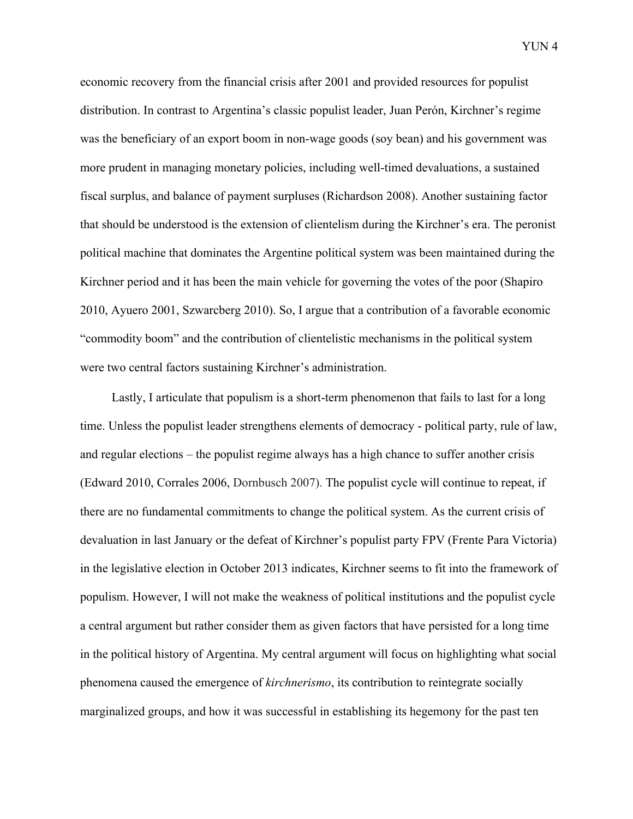economic recovery from the financial crisis after 2001 and provided resources for populist distribution. In contrast to Argentina's classic populist leader, Juan Perón, Kirchner's regime was the beneficiary of an export boom in non-wage goods (soy bean) and his government was more prudent in managing monetary policies, including well-timed devaluations, a sustained fiscal surplus, and balance of payment surpluses (Richardson 2008). Another sustaining factor that should be understood is the extension of clientelism during the Kirchner's era. The peronist political machine that dominates the Argentine political system was been maintained during the Kirchner period and it has been the main vehicle for governing the votes of the poor (Shapiro 2010, Ayuero 2001, Szwarcberg 2010). So, I argue that a contribution of a favorable economic "commodity boom" and the contribution of clientelistic mechanisms in the political system were two central factors sustaining Kirchner's administration.

Lastly, I articulate that populism is a short-term phenomenon that fails to last for a long time. Unless the populist leader strengthens elements of democracy - political party, rule of law, and regular elections – the populist regime always has a high chance to suffer another crisis (Edward 2010, Corrales 2006, Dornbusch 2007). The populist cycle will continue to repeat, if there are no fundamental commitments to change the political system. As the current crisis of devaluation in last January or the defeat of Kirchner's populist party FPV (Frente Para Victoria) in the legislative election in October 2013 indicates, Kirchner seems to fit into the framework of populism. However, I will not make the weakness of political institutions and the populist cycle a central argument but rather consider them as given factors that have persisted for a long time in the political history of Argentina. My central argument will focus on highlighting what social phenomena caused the emergence of *kirchnerismo*, its contribution to reintegrate socially marginalized groups, and how it was successful in establishing its hegemony for the past ten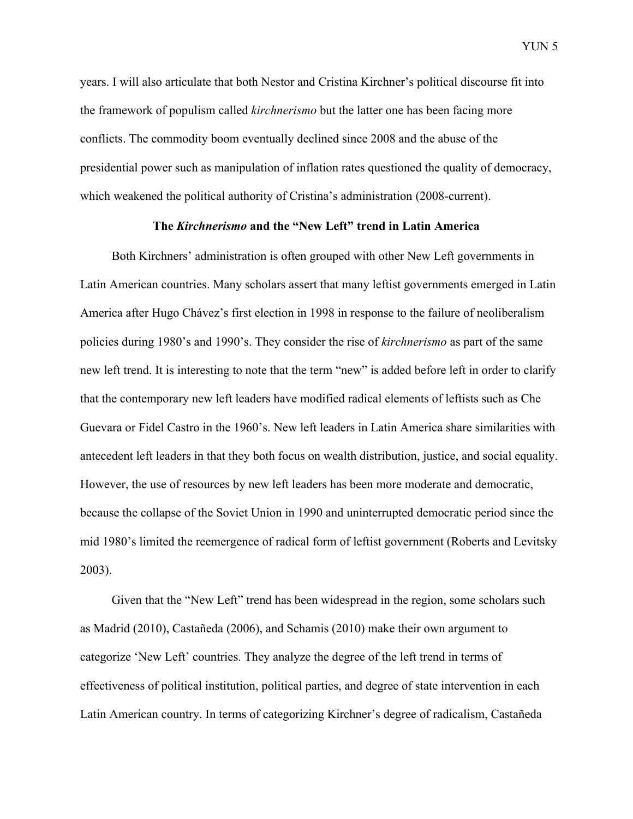years. I will also articulate that both Nestor and Cristina Kirchner's political discourse fit into the framework of populism called *kirchnerismo* but the latter one has been facing more conflicts. The commodity boom eventually declined since 2008 and the abuse of the presidential power such as manipulation of inflation rates questioned the quality of democracy, which weakened the political authority of Cristina's administration (2008-current).

#### **The** *Kirchnerismo* **and the "New Left" trend in Latin America**

Both Kirchners' administration is often grouped with other New Left governments in Latin American countries. Many scholars assert that many leftist governments emerged in Latin America after Hugo Chávez's first election in 1998 in response to the failure of neoliberalism policies during 1980's and 1990's. They consider the rise of *kirchnerismo* as part of the same new left trend. It is interesting to note that the term "new" is added before left in order to clarify that the contemporary new left leaders have modified radical elements of leftists such as Che Guevara or Fidel Castro in the 1960's. New left leaders in Latin America share similarities with antecedent left leaders in that they both focus on wealth distribution, justice, and social equality. However, the use of resources by new left leaders has been more moderate and democratic, because the collapse of the Soviet Union in 1990 and uninterrupted democratic period since the mid 1980's limited the reemergence of radical form of leftist government (Roberts and Levitsky 2003).

Given that the "New Left" trend has been widespread in the region, some scholars such as Madrid (2010), Castañeda (2006), and Schamis (2010) make their own argument to categorize 'New Left' countries. They analyze the degree of the left trend in terms of effectiveness of political institution, political parties, and degree of state intervention in each Latin American country. In terms of categorizing Kirchner's degree of radicalism, Castañeda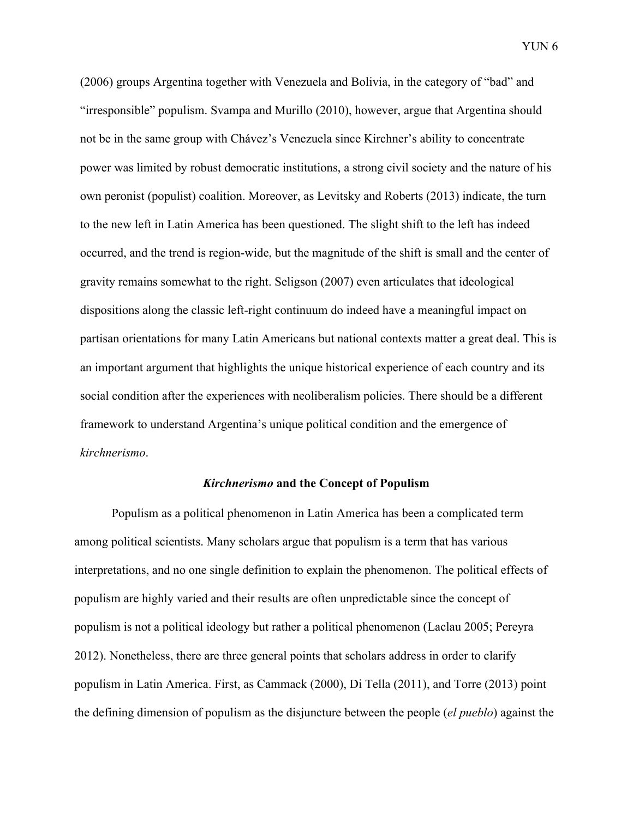(2006) groups Argentina together with Venezuela and Bolivia, in the category of "bad" and "irresponsible" populism. Svampa and Murillo (2010), however, argue that Argentina should not be in the same group with Chávez's Venezuela since Kirchner's ability to concentrate power was limited by robust democratic institutions, a strong civil society and the nature of his own peronist (populist) coalition. Moreover, as Levitsky and Roberts (2013) indicate, the turn to the new left in Latin America has been questioned. The slight shift to the left has indeed occurred, and the trend is region-wide, but the magnitude of the shift is small and the center of gravity remains somewhat to the right. Seligson (2007) even articulates that ideological dispositions along the classic left-right continuum do indeed have a meaningful impact on partisan orientations for many Latin Americans but national contexts matter a great deal. This is an important argument that highlights the unique historical experience of each country and its social condition after the experiences with neoliberalism policies. There should be a different framework to understand Argentina's unique political condition and the emergence of *kirchnerismo*.

#### *Kirchnerismo* **and the Concept of Populism**

Populism as a political phenomenon in Latin America has been a complicated term among political scientists. Many scholars argue that populism is a term that has various interpretations, and no one single definition to explain the phenomenon. The political effects of populism are highly varied and their results are often unpredictable since the concept of populism is not a political ideology but rather a political phenomenon (Laclau 2005; Pereyra 2012). Nonetheless, there are three general points that scholars address in order to clarify populism in Latin America. First, as Cammack (2000), Di Tella (2011), and Torre (2013) point the defining dimension of populism as the disjuncture between the people (*el pueblo*) against the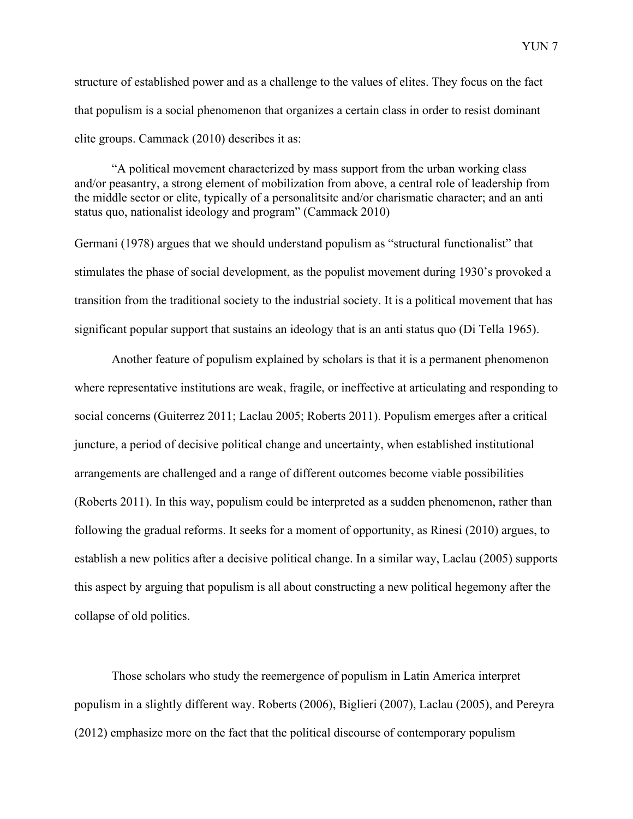structure of established power and as a challenge to the values of elites. They focus on the fact that populism is a social phenomenon that organizes a certain class in order to resist dominant elite groups. Cammack (2010) describes it as:

"A political movement characterized by mass support from the urban working class and/or peasantry, a strong element of mobilization from above, a central role of leadership from the middle sector or elite, typically of a personalitsitc and/or charismatic character; and an anti status quo, nationalist ideology and program" (Cammack 2010)

Germani (1978) argues that we should understand populism as "structural functionalist" that stimulates the phase of social development, as the populist movement during 1930's provoked a transition from the traditional society to the industrial society. It is a political movement that has significant popular support that sustains an ideology that is an anti status quo (Di Tella 1965).

Another feature of populism explained by scholars is that it is a permanent phenomenon where representative institutions are weak, fragile, or ineffective at articulating and responding to social concerns (Guiterrez 2011; Laclau 2005; Roberts 2011). Populism emerges after a critical juncture, a period of decisive political change and uncertainty, when established institutional arrangements are challenged and a range of different outcomes become viable possibilities (Roberts 2011). In this way, populism could be interpreted as a sudden phenomenon, rather than following the gradual reforms. It seeks for a moment of opportunity, as Rinesi (2010) argues, to establish a new politics after a decisive political change. In a similar way, Laclau (2005) supports this aspect by arguing that populism is all about constructing a new political hegemony after the collapse of old politics.

Those scholars who study the reemergence of populism in Latin America interpret populism in a slightly different way. Roberts (2006), Biglieri (2007), Laclau (2005), and Pereyra (2012) emphasize more on the fact that the political discourse of contemporary populism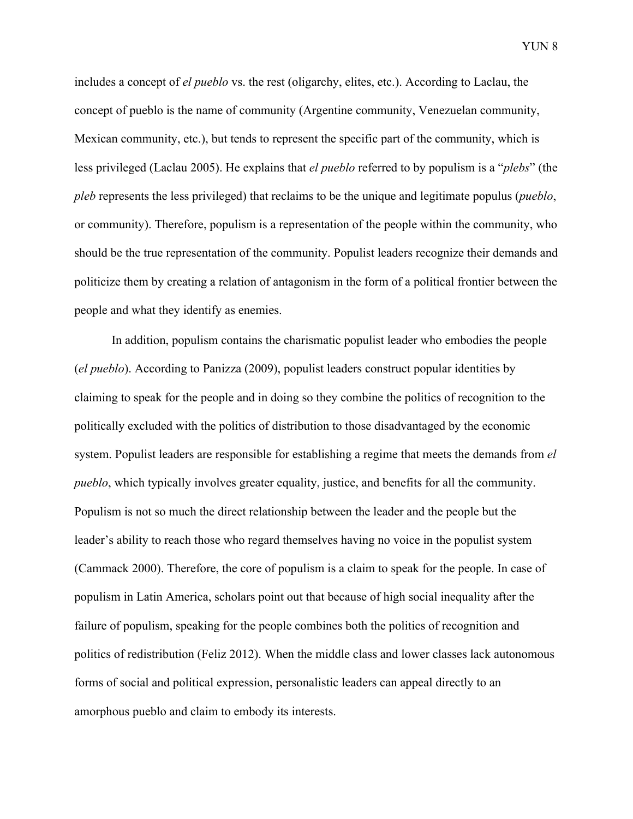includes a concept of *el pueblo* vs. the rest (oligarchy, elites, etc.). According to Laclau, the concept of pueblo is the name of community (Argentine community, Venezuelan community, Mexican community, etc.), but tends to represent the specific part of the community, which is less privileged (Laclau 2005). He explains that *el pueblo* referred to by populism is a "*plebs*" (the *pleb* represents the less privileged) that reclaims to be the unique and legitimate populus (*pueblo*, or community). Therefore, populism is a representation of the people within the community, who should be the true representation of the community. Populist leaders recognize their demands and politicize them by creating a relation of antagonism in the form of a political frontier between the

people and what they identify as enemies.

In addition, populism contains the charismatic populist leader who embodies the people (*el pueblo*). According to Panizza (2009), populist leaders construct popular identities by claiming to speak for the people and in doing so they combine the politics of recognition to the politically excluded with the politics of distribution to those disadvantaged by the economic system. Populist leaders are responsible for establishing a regime that meets the demands from *el pueblo*, which typically involves greater equality, justice, and benefits for all the community. Populism is not so much the direct relationship between the leader and the people but the leader's ability to reach those who regard themselves having no voice in the populist system (Cammack 2000). Therefore, the core of populism is a claim to speak for the people. In case of populism in Latin America, scholars point out that because of high social inequality after the failure of populism, speaking for the people combines both the politics of recognition and politics of redistribution (Feliz 2012). When the middle class and lower classes lack autonomous forms of social and political expression, personalistic leaders can appeal directly to an amorphous pueblo and claim to embody its interests.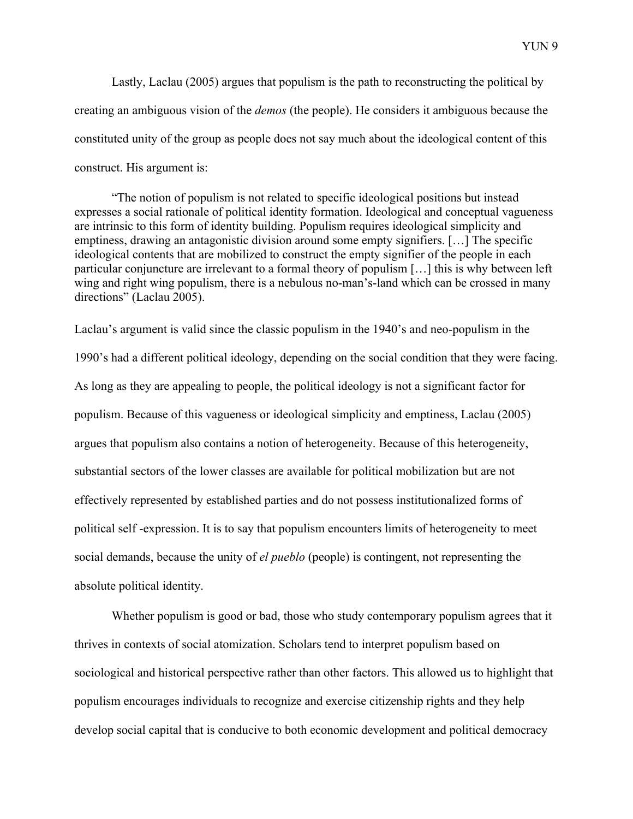Lastly, Laclau (2005) argues that populism is the path to reconstructing the political by creating an ambiguous vision of the *demos* (the people). He considers it ambiguous because the constituted unity of the group as people does not say much about the ideological content of this construct. His argument is:

"The notion of populism is not related to specific ideological positions but instead expresses a social rationale of political identity formation. Ideological and conceptual vagueness are intrinsic to this form of identity building. Populism requires ideological simplicity and emptiness, drawing an antagonistic division around some empty signifiers. […] The specific ideological contents that are mobilized to construct the empty signifier of the people in each particular conjuncture are irrelevant to a formal theory of populism […] this is why between left wing and right wing populism, there is a nebulous no-man's-land which can be crossed in many directions" (Laclau 2005).

Laclau's argument is valid since the classic populism in the 1940's and neo-populism in the 1990's had a different political ideology, depending on the social condition that they were facing. As long as they are appealing to people, the political ideology is not a significant factor for populism. Because of this vagueness or ideological simplicity and emptiness, Laclau (2005) argues that populism also contains a notion of heterogeneity. Because of this heterogeneity, substantial sectors of the lower classes are available for political mobilization but are not effectively represented by established parties and do not possess institutionalized forms of political self -expression. It is to say that populism encounters limits of heterogeneity to meet social demands, because the unity of *el pueblo* (people) is contingent, not representing the absolute political identity.

Whether populism is good or bad, those who study contemporary populism agrees that it thrives in contexts of social atomization. Scholars tend to interpret populism based on sociological and historical perspective rather than other factors. This allowed us to highlight that populism encourages individuals to recognize and exercise citizenship rights and they help develop social capital that is conducive to both economic development and political democracy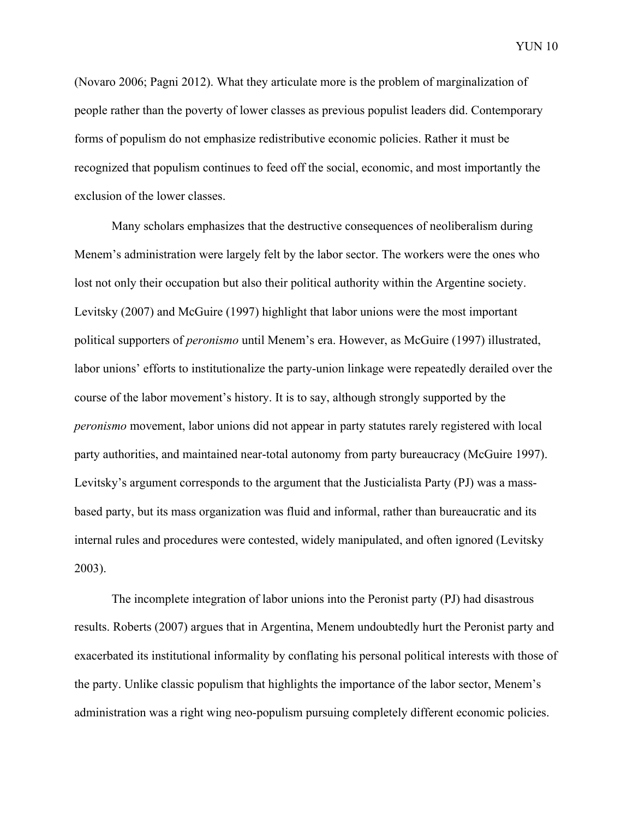(Novaro 2006; Pagni 2012). What they articulate more is the problem of marginalization of people rather than the poverty of lower classes as previous populist leaders did. Contemporary forms of populism do not emphasize redistributive economic policies. Rather it must be recognized that populism continues to feed off the social, economic, and most importantly the exclusion of the lower classes.

Many scholars emphasizes that the destructive consequences of neoliberalism during Menem's administration were largely felt by the labor sector. The workers were the ones who lost not only their occupation but also their political authority within the Argentine society. Levitsky (2007) and McGuire (1997) highlight that labor unions were the most important political supporters of *peronismo* until Menem's era. However, as McGuire (1997) illustrated, labor unions' efforts to institutionalize the party-union linkage were repeatedly derailed over the course of the labor movement's history. It is to say, although strongly supported by the *peronismo* movement, labor unions did not appear in party statutes rarely registered with local party authorities, and maintained near-total autonomy from party bureaucracy (McGuire 1997). Levitsky's argument corresponds to the argument that the Justicialista Party (PJ) was a massbased party, but its mass organization was fluid and informal, rather than bureaucratic and its internal rules and procedures were contested, widely manipulated, and often ignored (Levitsky 2003).

The incomplete integration of labor unions into the Peronist party (PJ) had disastrous results. Roberts (2007) argues that in Argentina, Menem undoubtedly hurt the Peronist party and exacerbated its institutional informality by conflating his personal political interests with those of the party. Unlike classic populism that highlights the importance of the labor sector, Menem's administration was a right wing neo-populism pursuing completely different economic policies.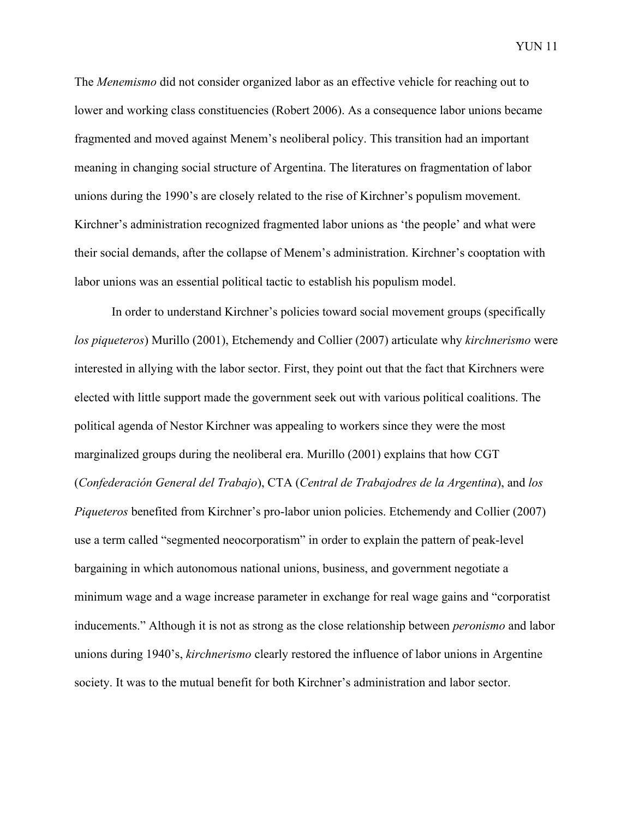The *Menemismo* did not consider organized labor as an effective vehicle for reaching out to lower and working class constituencies (Robert 2006). As a consequence labor unions became fragmented and moved against Menem's neoliberal policy. This transition had an important meaning in changing social structure of Argentina. The literatures on fragmentation of labor unions during the 1990's are closely related to the rise of Kirchner's populism movement. Kirchner's administration recognized fragmented labor unions as 'the people' and what were their social demands, after the collapse of Menem's administration. Kirchner's cooptation with labor unions was an essential political tactic to establish his populism model.

In order to understand Kirchner's policies toward social movement groups (specifically *los piqueteros*) Murillo (2001), Etchemendy and Collier (2007) articulate why *kirchnerismo* were interested in allying with the labor sector. First, they point out that the fact that Kirchners were elected with little support made the government seek out with various political coalitions. The political agenda of Nestor Kirchner was appealing to workers since they were the most marginalized groups during the neoliberal era. Murillo (2001) explains that how CGT (*Confederación General del Trabajo*), CTA (*Central de Trabajodres de la Argentina*), and *los Piqueteros* benefited from Kirchner's pro-labor union policies. Etchemendy and Collier (2007) use a term called "segmented neocorporatism" in order to explain the pattern of peak-level bargaining in which autonomous national unions, business, and government negotiate a minimum wage and a wage increase parameter in exchange for real wage gains and "corporatist inducements." Although it is not as strong as the close relationship between *peronismo* and labor unions during 1940's, *kirchnerismo* clearly restored the influence of labor unions in Argentine society. It was to the mutual benefit for both Kirchner's administration and labor sector.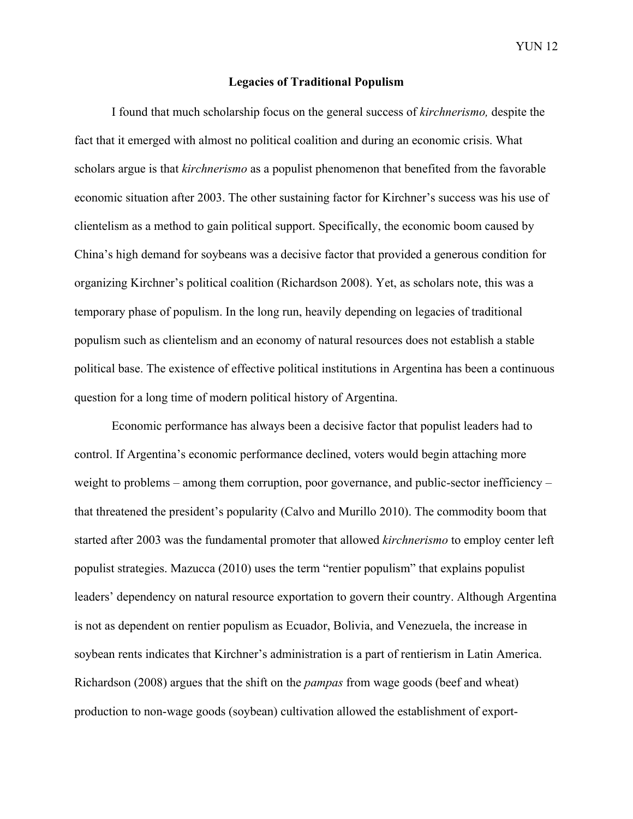#### **Legacies of Traditional Populism**

I found that much scholarship focus on the general success of *kirchnerismo,* despite the fact that it emerged with almost no political coalition and during an economic crisis. What scholars argue is that *kirchnerismo* as a populist phenomenon that benefited from the favorable economic situation after 2003. The other sustaining factor for Kirchner's success was his use of clientelism as a method to gain political support. Specifically, the economic boom caused by China's high demand for soybeans was a decisive factor that provided a generous condition for organizing Kirchner's political coalition (Richardson 2008). Yet, as scholars note, this was a temporary phase of populism. In the long run, heavily depending on legacies of traditional populism such as clientelism and an economy of natural resources does not establish a stable political base. The existence of effective political institutions in Argentina has been a continuous question for a long time of modern political history of Argentina.

Economic performance has always been a decisive factor that populist leaders had to control. If Argentina's economic performance declined, voters would begin attaching more weight to problems – among them corruption, poor governance, and public-sector inefficiency – that threatened the president's popularity (Calvo and Murillo 2010). The commodity boom that started after 2003 was the fundamental promoter that allowed *kirchnerismo* to employ center left populist strategies. Mazucca (2010) uses the term "rentier populism" that explains populist leaders' dependency on natural resource exportation to govern their country. Although Argentina is not as dependent on rentier populism as Ecuador, Bolivia, and Venezuela, the increase in soybean rents indicates that Kirchner's administration is a part of rentierism in Latin America. Richardson (2008) argues that the shift on the *pampas* from wage goods (beef and wheat) production to non-wage goods (soybean) cultivation allowed the establishment of export-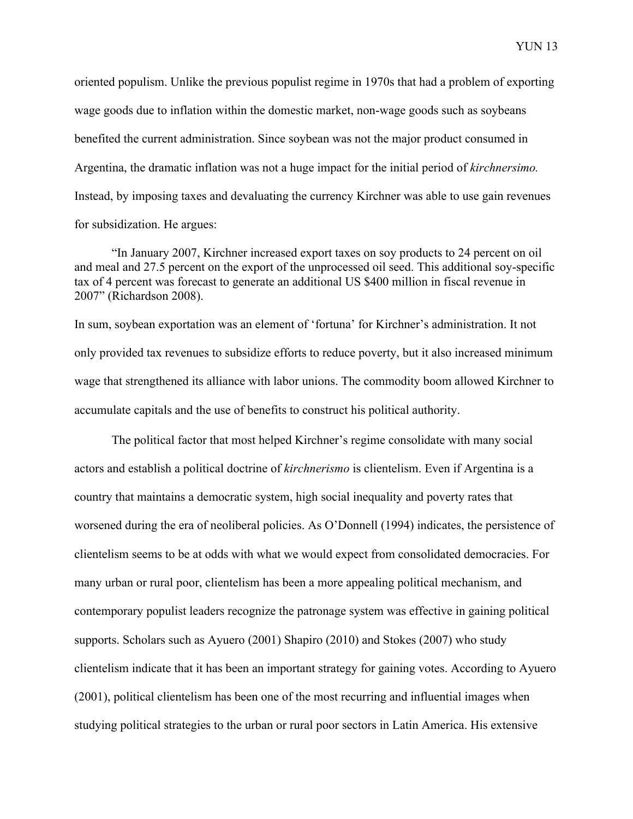oriented populism. Unlike the previous populist regime in 1970s that had a problem of exporting wage goods due to inflation within the domestic market, non-wage goods such as soybeans benefited the current administration. Since soybean was not the major product consumed in Argentina, the dramatic inflation was not a huge impact for the initial period of *kirchnersimo.* Instead, by imposing taxes and devaluating the currency Kirchner was able to use gain revenues for subsidization. He argues:

"In January 2007, Kirchner increased export taxes on soy products to 24 percent on oil and meal and 27.5 percent on the export of the unprocessed oil seed. This additional soy-specific tax of 4 percent was forecast to generate an additional US \$400 million in fiscal revenue in 2007" (Richardson 2008).

In sum, soybean exportation was an element of 'fortuna' for Kirchner's administration. It not only provided tax revenues to subsidize efforts to reduce poverty, but it also increased minimum wage that strengthened its alliance with labor unions. The commodity boom allowed Kirchner to accumulate capitals and the use of benefits to construct his political authority.

The political factor that most helped Kirchner's regime consolidate with many social actors and establish a political doctrine of *kirchnerismo* is clientelism. Even if Argentina is a country that maintains a democratic system, high social inequality and poverty rates that worsened during the era of neoliberal policies. As O'Donnell (1994) indicates, the persistence of clientelism seems to be at odds with what we would expect from consolidated democracies. For many urban or rural poor, clientelism has been a more appealing political mechanism, and contemporary populist leaders recognize the patronage system was effective in gaining political supports. Scholars such as Ayuero (2001) Shapiro (2010) and Stokes (2007) who study clientelism indicate that it has been an important strategy for gaining votes. According to Ayuero (2001), political clientelism has been one of the most recurring and influential images when studying political strategies to the urban or rural poor sectors in Latin America. His extensive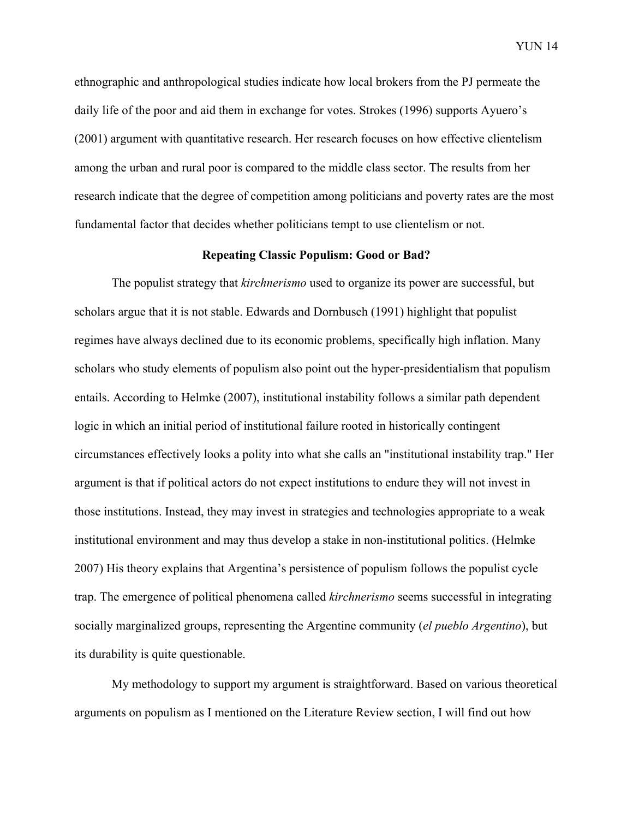ethnographic and anthropological studies indicate how local brokers from the PJ permeate the daily life of the poor and aid them in exchange for votes. Strokes (1996) supports Ayuero's (2001) argument with quantitative research. Her research focuses on how effective clientelism among the urban and rural poor is compared to the middle class sector. The results from her research indicate that the degree of competition among politicians and poverty rates are the most fundamental factor that decides whether politicians tempt to use clientelism or not.

#### **Repeating Classic Populism: Good or Bad?**

The populist strategy that *kirchnerismo* used to organize its power are successful, but scholars argue that it is not stable. Edwards and Dornbusch (1991) highlight that populist regimes have always declined due to its economic problems, specifically high inflation. Many scholars who study elements of populism also point out the hyper-presidentialism that populism entails. According to Helmke (2007), institutional instability follows a similar path dependent logic in which an initial period of institutional failure rooted in historically contingent circumstances effectively looks a polity into what she calls an "institutional instability trap." Her argument is that if political actors do not expect institutions to endure they will not invest in those institutions. Instead, they may invest in strategies and technologies appropriate to a weak institutional environment and may thus develop a stake in non-institutional politics. (Helmke 2007) His theory explains that Argentina's persistence of populism follows the populist cycle trap. The emergence of political phenomena called *kirchnerismo* seems successful in integrating socially marginalized groups, representing the Argentine community (*el pueblo Argentino*), but its durability is quite questionable.

My methodology to support my argument is straightforward. Based on various theoretical arguments on populism as I mentioned on the Literature Review section, I will find out how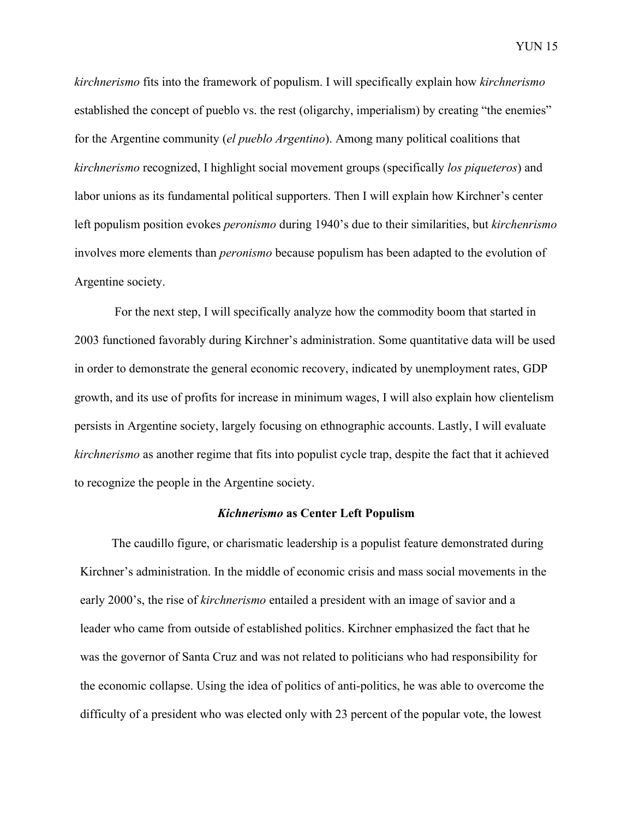*kirchnerismo* fits into the framework of populism. I will specifically explain how *kirchnerismo*  established the concept of pueblo vs. the rest (oligarchy, imperialism) by creating "the enemies" for the Argentine community (*el pueblo Argentino*). Among many political coalitions that *kirchnerismo* recognized, I highlight social movement groups (specifically *los piqueteros*) and labor unions as its fundamental political supporters. Then I will explain how Kirchner's center left populism position evokes *peronismo* during 1940's due to their similarities, but *kirchenrismo*  involves more elements than *peronismo* because populism has been adapted to the evolution of Argentine society.

For the next step, I will specifically analyze how the commodity boom that started in 2003 functioned favorably during Kirchner's administration. Some quantitative data will be used in order to demonstrate the general economic recovery, indicated by unemployment rates, GDP growth, and its use of profits for increase in minimum wages, I will also explain how clientelism persists in Argentine society, largely focusing on ethnographic accounts. Lastly, I will evaluate *kirchnerismo* as another regime that fits into populist cycle trap, despite the fact that it achieved to recognize the people in the Argentine society.

#### *Kichnerismo* **as Center Left Populism**

The caudillo figure, or charismatic leadership is a populist feature demonstrated during Kirchner's administration. In the middle of economic crisis and mass social movements in the early 2000's, the rise of *kirchnerismo* entailed a president with an image of savior and a leader who came from outside of established politics. Kirchner emphasized the fact that he was the governor of Santa Cruz and was not related to politicians who had responsibility for the economic collapse. Using the idea of politics of anti-politics, he was able to overcome the difficulty of a president who was elected only with 23 percent of the popular vote, the lowest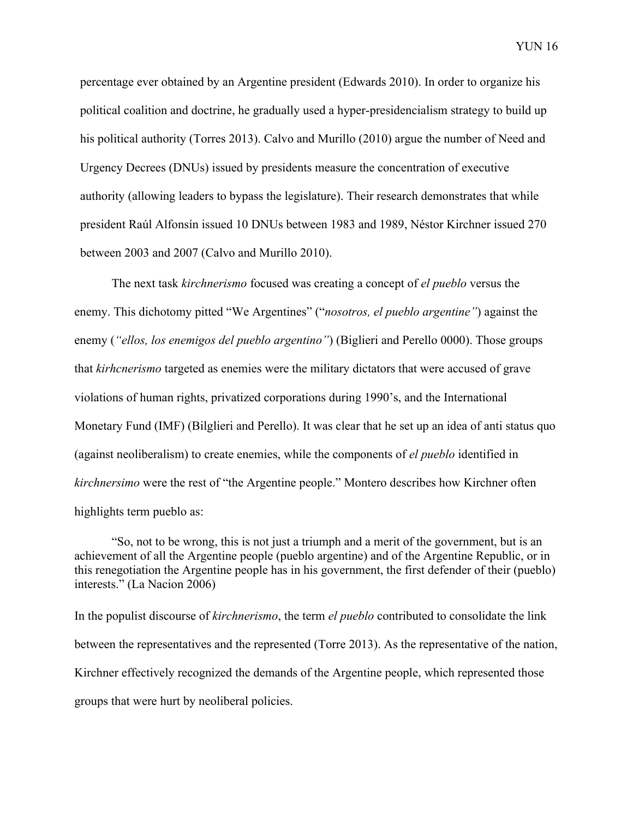percentage ever obtained by an Argentine president (Edwards 2010). In order to organize his political coalition and doctrine, he gradually used a hyper-presidencialism strategy to build up his political authority (Torres 2013). Calvo and Murillo (2010) argue the number of Need and Urgency Decrees (DNUs) issued by presidents measure the concentration of executive authority (allowing leaders to bypass the legislature). Their research demonstrates that while president Raúl Alfonsín issued 10 DNUs between 1983 and 1989, Néstor Kirchner issued 270 between 2003 and 2007 (Calvo and Murillo 2010).

The next task *kirchnerismo* focused was creating a concept of *el pueblo* versus the enemy. This dichotomy pitted "We Argentines" ("*nosotros, el pueblo argentine"*) against the enemy (*"ellos, los enemigos del pueblo argentino"*) (Biglieri and Perello 0000). Those groups that *kirhcnerismo* targeted as enemies were the military dictators that were accused of grave violations of human rights, privatized corporations during 1990's, and the International Monetary Fund (IMF) (Bilglieri and Perello). It was clear that he set up an idea of anti status quo (against neoliberalism) to create enemies, while the components of *el pueblo* identified in *kirchnersimo* were the rest of "the Argentine people." Montero describes how Kirchner often highlights term pueblo as:

"So, not to be wrong, this is not just a triumph and a merit of the government, but is an achievement of all the Argentine people (pueblo argentine) and of the Argentine Republic, or in this renegotiation the Argentine people has in his government, the first defender of their (pueblo) interests." (La Nacion 2006)

In the populist discourse of *kirchnerismo*, the term *el pueblo* contributed to consolidate the link between the representatives and the represented (Torre 2013). As the representative of the nation, Kirchner effectively recognized the demands of the Argentine people, which represented those groups that were hurt by neoliberal policies.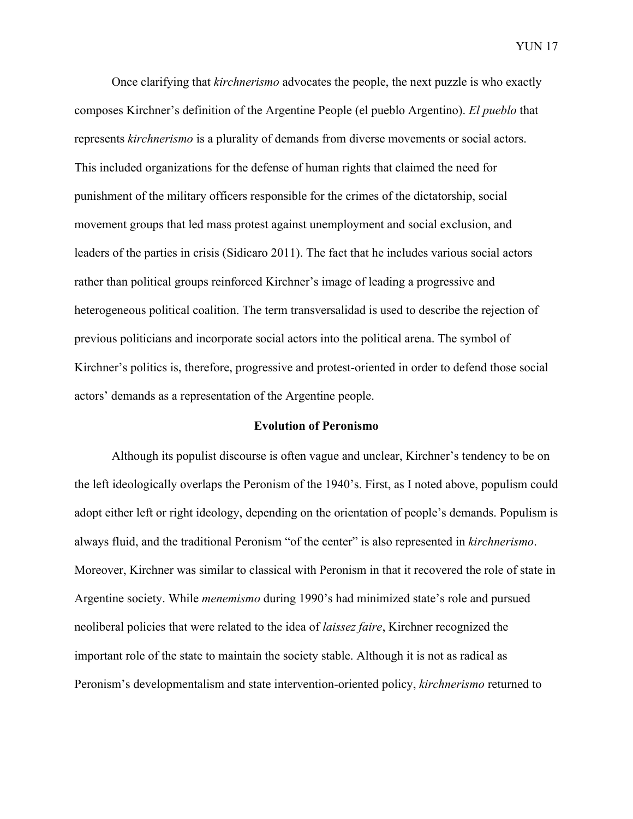Once clarifying that *kirchnerismo* advocates the people, the next puzzle is who exactly composes Kirchner's definition of the Argentine People (el pueblo Argentino). *El pueblo* that represents *kirchnerismo* is a plurality of demands from diverse movements or social actors. This included organizations for the defense of human rights that claimed the need for punishment of the military officers responsible for the crimes of the dictatorship, social movement groups that led mass protest against unemployment and social exclusion, and leaders of the parties in crisis (Sidicaro 2011). The fact that he includes various social actors rather than political groups reinforced Kirchner's image of leading a progressive and heterogeneous political coalition. The term transversalidad is used to describe the rejection of previous politicians and incorporate social actors into the political arena. The symbol of Kirchner's politics is, therefore, progressive and protest-oriented in order to defend those social actors' demands as a representation of the Argentine people.

#### **Evolution of Peronismo**

Although its populist discourse is often vague and unclear, Kirchner's tendency to be on the left ideologically overlaps the Peronism of the 1940's. First, as I noted above, populism could adopt either left or right ideology, depending on the orientation of people's demands. Populism is always fluid, and the traditional Peronism "of the center" is also represented in *kirchnerismo*. Moreover, Kirchner was similar to classical with Peronism in that it recovered the role of state in Argentine society. While *menemismo* during 1990's had minimized state's role and pursued neoliberal policies that were related to the idea of *laissez faire*, Kirchner recognized the important role of the state to maintain the society stable. Although it is not as radical as Peronism's developmentalism and state intervention-oriented policy, *kirchnerismo* returned to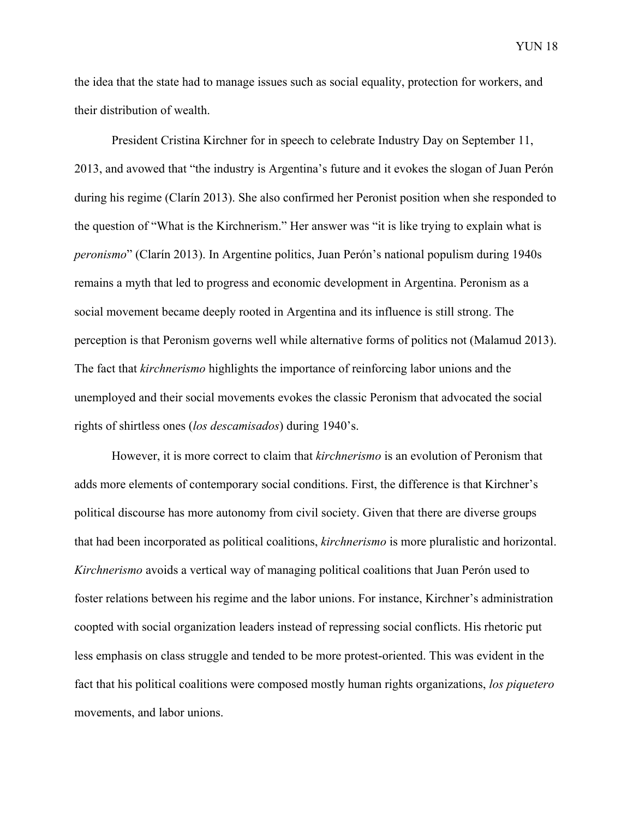the idea that the state had to manage issues such as social equality, protection for workers, and their distribution of wealth.

President Cristina Kirchner for in speech to celebrate Industry Day on September 11, 2013, and avowed that "the industry is Argentina's future and it evokes the slogan of Juan Perón during his regime (Clarín 2013). She also confirmed her Peronist position when she responded to the question of "What is the Kirchnerism." Her answer was "it is like trying to explain what is *peronismo*" (Clarín 2013). In Argentine politics, Juan Perón's national populism during 1940s remains a myth that led to progress and economic development in Argentina. Peronism as a social movement became deeply rooted in Argentina and its influence is still strong. The perception is that Peronism governs well while alternative forms of politics not (Malamud 2013). The fact that *kirchnerismo* highlights the importance of reinforcing labor unions and the unemployed and their social movements evokes the classic Peronism that advocated the social rights of shirtless ones (*los descamisados*) during 1940's.

However, it is more correct to claim that *kirchnerismo* is an evolution of Peronism that adds more elements of contemporary social conditions. First, the difference is that Kirchner's political discourse has more autonomy from civil society. Given that there are diverse groups that had been incorporated as political coalitions, *kirchnerismo* is more pluralistic and horizontal. *Kirchnerismo* avoids a vertical way of managing political coalitions that Juan Perón used to foster relations between his regime and the labor unions. For instance, Kirchner's administration coopted with social organization leaders instead of repressing social conflicts. His rhetoric put less emphasis on class struggle and tended to be more protest-oriented. This was evident in the fact that his political coalitions were composed mostly human rights organizations, *los piquetero* movements, and labor unions.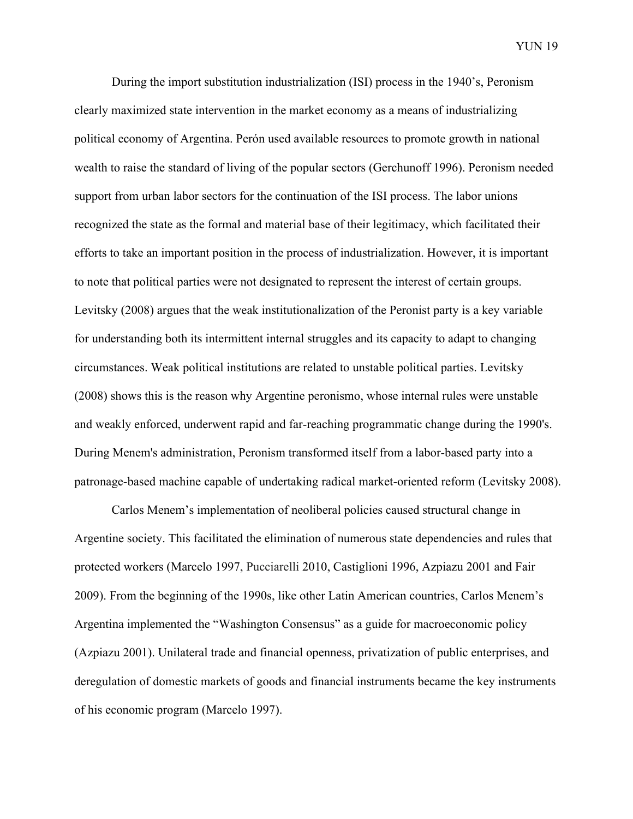During the import substitution industrialization (ISI) process in the 1940's, Peronism clearly maximized state intervention in the market economy as a means of industrializing political economy of Argentina. Perón used available resources to promote growth in national wealth to raise the standard of living of the popular sectors (Gerchunoff 1996). Peronism needed support from urban labor sectors for the continuation of the ISI process. The labor unions recognized the state as the formal and material base of their legitimacy, which facilitated their efforts to take an important position in the process of industrialization. However, it is important to note that political parties were not designated to represent the interest of certain groups. Levitsky (2008) argues that the weak institutionalization of the Peronist party is a key variable for understanding both its intermittent internal struggles and its capacity to adapt to changing circumstances. Weak political institutions are related to unstable political parties. Levitsky (2008) shows this is the reason why Argentine peronismo, whose internal rules were unstable and weakly enforced, underwent rapid and far-reaching programmatic change during the 1990's. During Menem's administration, Peronism transformed itself from a labor-based party into a patronage-based machine capable of undertaking radical market-oriented reform (Levitsky 2008).

Carlos Menem's implementation of neoliberal policies caused structural change in Argentine society. This facilitated the elimination of numerous state dependencies and rules that protected workers (Marcelo 1997, Pucciarelli 2010, Castiglioni 1996, Azpiazu 2001 and Fair 2009). From the beginning of the 1990s, like other Latin American countries, Carlos Menem's Argentina implemented the "Washington Consensus" as a guide for macroeconomic policy (Azpiazu 2001). Unilateral trade and financial openness, privatization of public enterprises, and deregulation of domestic markets of goods and financial instruments became the key instruments of his economic program (Marcelo 1997).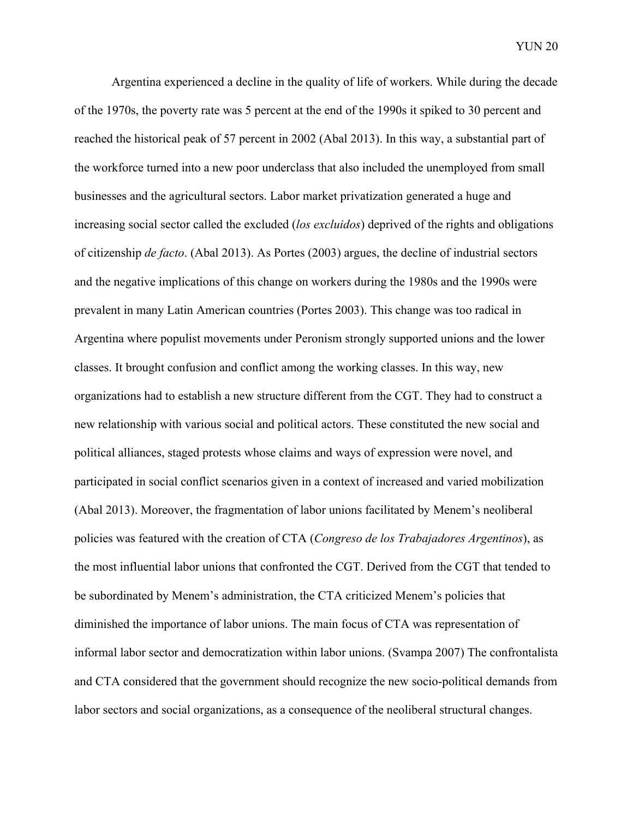Argentina experienced a decline in the quality of life of workers. While during the decade of the 1970s, the poverty rate was 5 percent at the end of the 1990s it spiked to 30 percent and reached the historical peak of 57 percent in 2002 (Abal 2013). In this way, a substantial part of the workforce turned into a new poor underclass that also included the unemployed from small businesses and the agricultural sectors. Labor market privatization generated a huge and increasing social sector called the excluded (*los excluidos*) deprived of the rights and obligations of citizenship *de facto*. (Abal 2013). As Portes (2003) argues, the decline of industrial sectors and the negative implications of this change on workers during the 1980s and the 1990s were prevalent in many Latin American countries (Portes 2003). This change was too radical in Argentina where populist movements under Peronism strongly supported unions and the lower classes. It brought confusion and conflict among the working classes. In this way, new organizations had to establish a new structure different from the CGT. They had to construct a new relationship with various social and political actors. These constituted the new social and political alliances, staged protests whose claims and ways of expression were novel, and participated in social conflict scenarios given in a context of increased and varied mobilization (Abal 2013). Moreover, the fragmentation of labor unions facilitated by Menem's neoliberal policies was featured with the creation of CTA (*Congreso de los Trabajadores Argentinos*), as the most influential labor unions that confronted the CGT. Derived from the CGT that tended to be subordinated by Menem's administration, the CTA criticized Menem's policies that diminished the importance of labor unions. The main focus of CTA was representation of informal labor sector and democratization within labor unions. (Svampa 2007) The confrontalista and CTA considered that the government should recognize the new socio-political demands from labor sectors and social organizations, as a consequence of the neoliberal structural changes.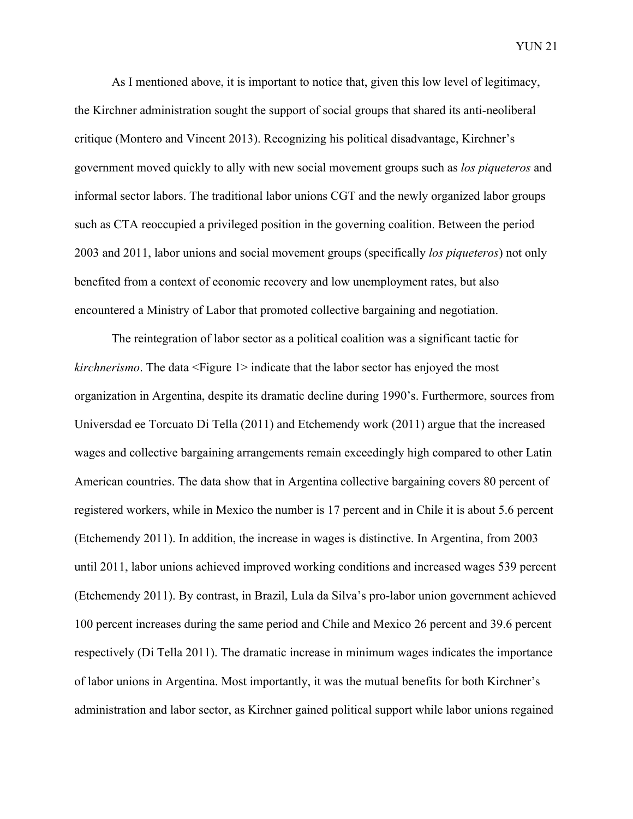As I mentioned above, it is important to notice that, given this low level of legitimacy, the Kirchner administration sought the support of social groups that shared its anti-neoliberal critique (Montero and Vincent 2013). Recognizing his political disadvantage, Kirchner's government moved quickly to ally with new social movement groups such as *los piqueteros* and informal sector labors. The traditional labor unions CGT and the newly organized labor groups such as CTA reoccupied a privileged position in the governing coalition. Between the period 2003 and 2011, labor unions and social movement groups (specifically *los piqueteros*) not only benefited from a context of economic recovery and low unemployment rates, but also encountered a Ministry of Labor that promoted collective bargaining and negotiation.

The reintegration of labor sector as a political coalition was a significant tactic for *kirchnerismo*. The data <Figure 1> indicate that the labor sector has enjoyed the most organization in Argentina, despite its dramatic decline during 1990's. Furthermore, sources from Universdad ee Torcuato Di Tella (2011) and Etchemendy work (2011) argue that the increased wages and collective bargaining arrangements remain exceedingly high compared to other Latin American countries. The data show that in Argentina collective bargaining covers 80 percent of registered workers, while in Mexico the number is 17 percent and in Chile it is about 5.6 percent (Etchemendy 2011). In addition, the increase in wages is distinctive. In Argentina, from 2003 until 2011, labor unions achieved improved working conditions and increased wages 539 percent (Etchemendy 2011). By contrast, in Brazil, Lula da Silva's pro-labor union government achieved 100 percent increases during the same period and Chile and Mexico 26 percent and 39.6 percent respectively (Di Tella 2011). The dramatic increase in minimum wages indicates the importance of labor unions in Argentina. Most importantly, it was the mutual benefits for both Kirchner's administration and labor sector, as Kirchner gained political support while labor unions regained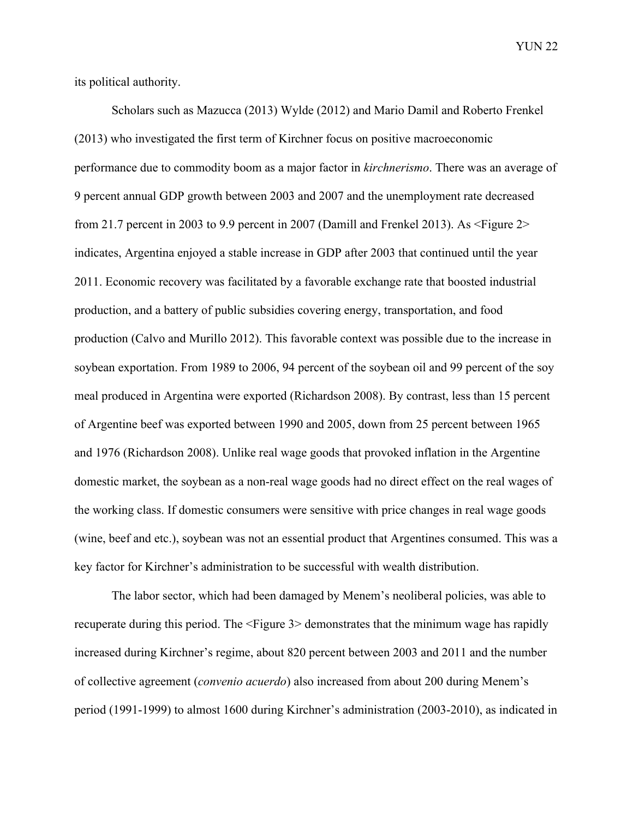its political authority.

Scholars such as Mazucca (2013) Wylde (2012) and Mario Damil and Roberto Frenkel (2013) who investigated the first term of Kirchner focus on positive macroeconomic performance due to commodity boom as a major factor in *kirchnerismo*. There was an average of 9 percent annual GDP growth between 2003 and 2007 and the unemployment rate decreased from 21.7 percent in 2003 to 9.9 percent in 2007 (Damill and Frenkel 2013). As  $\leq$ Figure 2> indicates, Argentina enjoyed a stable increase in GDP after 2003 that continued until the year 2011. Economic recovery was facilitated by a favorable exchange rate that boosted industrial production, and a battery of public subsidies covering energy, transportation, and food production (Calvo and Murillo 2012). This favorable context was possible due to the increase in soybean exportation. From 1989 to 2006, 94 percent of the soybean oil and 99 percent of the soy meal produced in Argentina were exported (Richardson 2008). By contrast, less than 15 percent of Argentine beef was exported between 1990 and 2005, down from 25 percent between 1965 and 1976 (Richardson 2008). Unlike real wage goods that provoked inflation in the Argentine domestic market, the soybean as a non-real wage goods had no direct effect on the real wages of the working class. If domestic consumers were sensitive with price changes in real wage goods (wine, beef and etc.), soybean was not an essential product that Argentines consumed. This was a key factor for Kirchner's administration to be successful with wealth distribution.

The labor sector, which had been damaged by Menem's neoliberal policies, was able to recuperate during this period. The <Figure 3> demonstrates that the minimum wage has rapidly increased during Kirchner's regime, about 820 percent between 2003 and 2011 and the number of collective agreement (*convenio acuerdo*) also increased from about 200 during Menem's period (1991-1999) to almost 1600 during Kirchner's administration (2003-2010), as indicated in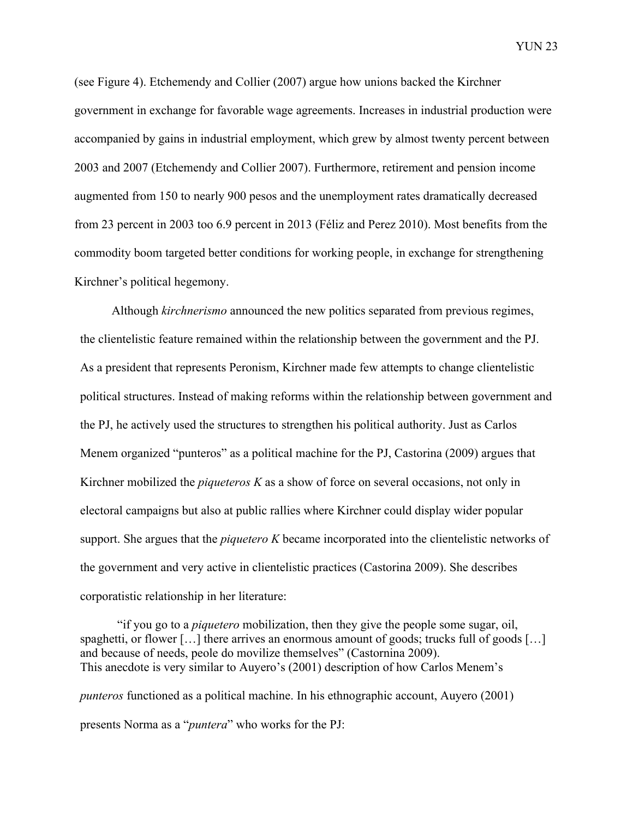(see Figure 4). Etchemendy and Collier (2007) argue how unions backed the Kirchner government in exchange for favorable wage agreements. Increases in industrial production were accompanied by gains in industrial employment, which grew by almost twenty percent between 2003 and 2007 (Etchemendy and Collier 2007). Furthermore, retirement and pension income augmented from 150 to nearly 900 pesos and the unemployment rates dramatically decreased from 23 percent in 2003 too 6.9 percent in 2013 (Féliz and Perez 2010). Most benefits from the commodity boom targeted better conditions for working people, in exchange for strengthening Kirchner's political hegemony.

Although *kirchnerismo* announced the new politics separated from previous regimes, the clientelistic feature remained within the relationship between the government and the PJ. As a president that represents Peronism, Kirchner made few attempts to change clientelistic political structures. Instead of making reforms within the relationship between government and the PJ, he actively used the structures to strengthen his political authority. Just as Carlos Menem organized "punteros" as a political machine for the PJ, Castorina (2009) argues that Kirchner mobilized the *piqueteros K* as a show of force on several occasions, not only in electoral campaigns but also at public rallies where Kirchner could display wider popular support. She argues that the *piquetero K* became incorporated into the clientelistic networks of the government and very active in clientelistic practices (Castorina 2009). She describes corporatistic relationship in her literature:

"if you go to a *piquetero* mobilization, then they give the people some sugar, oil, spaghetti, or flower [...] there arrives an enormous amount of goods; trucks full of goods [...] and because of needs, peole do movilize themselves" (Castornina 2009). This anecdote is very similar to Auyero's (2001) description of how Carlos Menem's *punteros* functioned as a political machine. In his ethnographic account, Auyero (2001) presents Norma as a "*puntera*" who works for the PJ: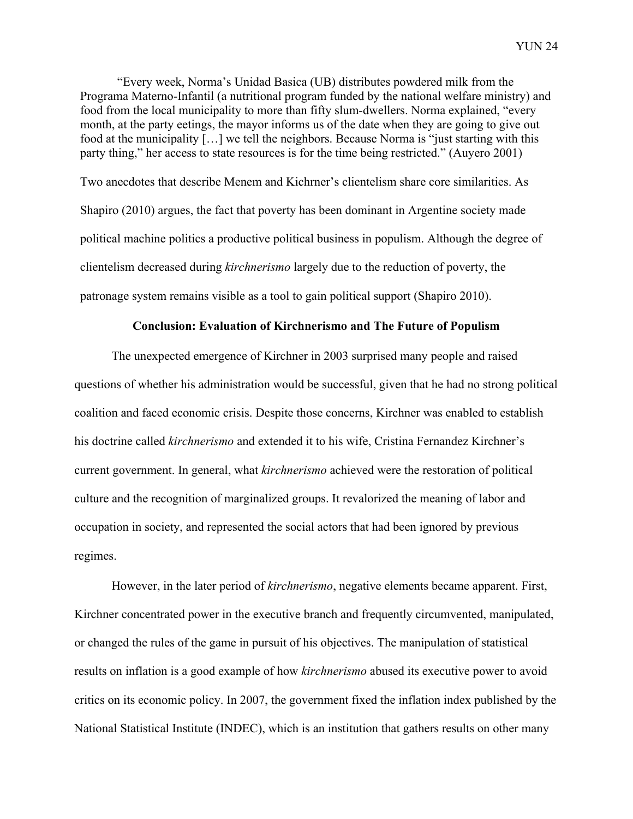"Every week, Norma's Unidad Basica (UB) distributes powdered milk from the Programa Materno-Infantil (a nutritional program funded by the national welfare ministry) and food from the local municipality to more than fifty slum-dwellers. Norma explained, "every month, at the party eetings, the mayor informs us of the date when they are going to give out food at the municipality […] we tell the neighbors. Because Norma is "just starting with this party thing," her access to state resources is for the time being restricted." (Auyero 2001)

Two anecdotes that describe Menem and Kichrner's clientelism share core similarities. As Shapiro (2010) argues, the fact that poverty has been dominant in Argentine society made political machine politics a productive political business in populism. Although the degree of clientelism decreased during *kirchnerismo* largely due to the reduction of poverty, the patronage system remains visible as a tool to gain political support (Shapiro 2010).

#### **Conclusion: Evaluation of Kirchnerismo and The Future of Populism**

The unexpected emergence of Kirchner in 2003 surprised many people and raised questions of whether his administration would be successful, given that he had no strong political coalition and faced economic crisis. Despite those concerns, Kirchner was enabled to establish his doctrine called *kirchnerismo* and extended it to his wife, Cristina Fernandez Kirchner's current government. In general, what *kirchnerismo* achieved were the restoration of political culture and the recognition of marginalized groups. It revalorized the meaning of labor and occupation in society, and represented the social actors that had been ignored by previous regimes.

However, in the later period of *kirchnerismo*, negative elements became apparent. First, Kirchner concentrated power in the executive branch and frequently circumvented, manipulated, or changed the rules of the game in pursuit of his objectives. The manipulation of statistical results on inflation is a good example of how *kirchnerismo* abused its executive power to avoid critics on its economic policy. In 2007, the government fixed the inflation index published by the National Statistical Institute (INDEC), which is an institution that gathers results on other many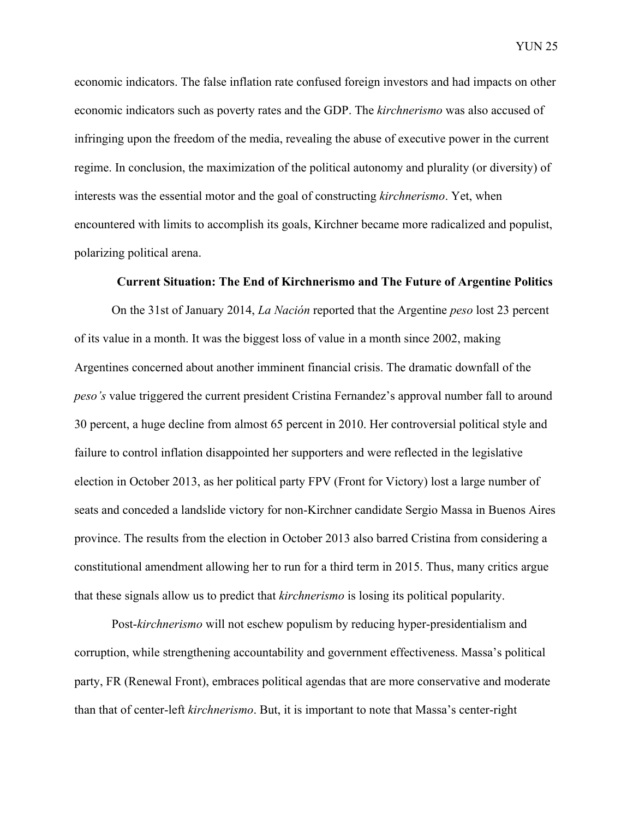economic indicators. The false inflation rate confused foreign investors and had impacts on other economic indicators such as poverty rates and the GDP. The *kirchnerismo* was also accused of infringing upon the freedom of the media, revealing the abuse of executive power in the current regime. In conclusion, the maximization of the political autonomy and plurality (or diversity) of interests was the essential motor and the goal of constructing *kirchnerismo*. Yet, when encountered with limits to accomplish its goals, Kirchner became more radicalized and populist, polarizing political arena.

#### **Current Situation: The End of Kirchnerismo and The Future of Argentine Politics**

On the 31st of January 2014, *La Nación* reported that the Argentine *peso* lost 23 percent of its value in a month. It was the biggest loss of value in a month since 2002, making Argentines concerned about another imminent financial crisis. The dramatic downfall of the *peso's* value triggered the current president Cristina Fernandez's approval number fall to around 30 percent, a huge decline from almost 65 percent in 2010. Her controversial political style and failure to control inflation disappointed her supporters and were reflected in the legislative election in October 2013, as her political party FPV (Front for Victory) lost a large number of seats and conceded a landslide victory for non-Kirchner candidate Sergio Massa in Buenos Aires province. The results from the election in October 2013 also barred Cristina from considering a constitutional amendment allowing her to run for a third term in 2015. Thus, many critics argue that these signals allow us to predict that *kirchnerismo* is losing its political popularity.

Post-*kirchnerismo* will not eschew populism by reducing hyper-presidentialism and corruption, while strengthening accountability and government effectiveness. Massa's political party, FR (Renewal Front), embraces political agendas that are more conservative and moderate than that of center-left *kirchnerismo*. But, it is important to note that Massa's center-right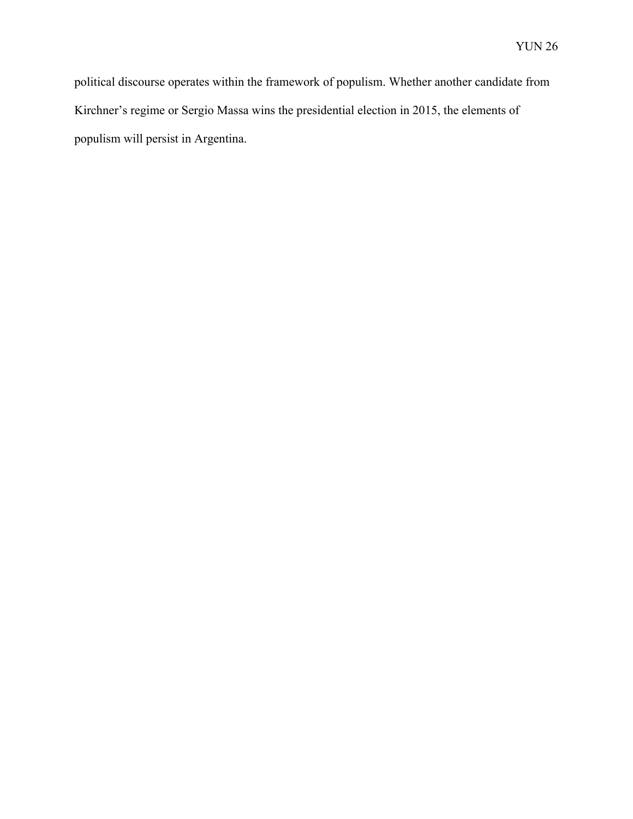political discourse operates within the framework of populism. Whether another candidate from Kirchner's regime or Sergio Massa wins the presidential election in 2015, the elements of populism will persist in Argentina.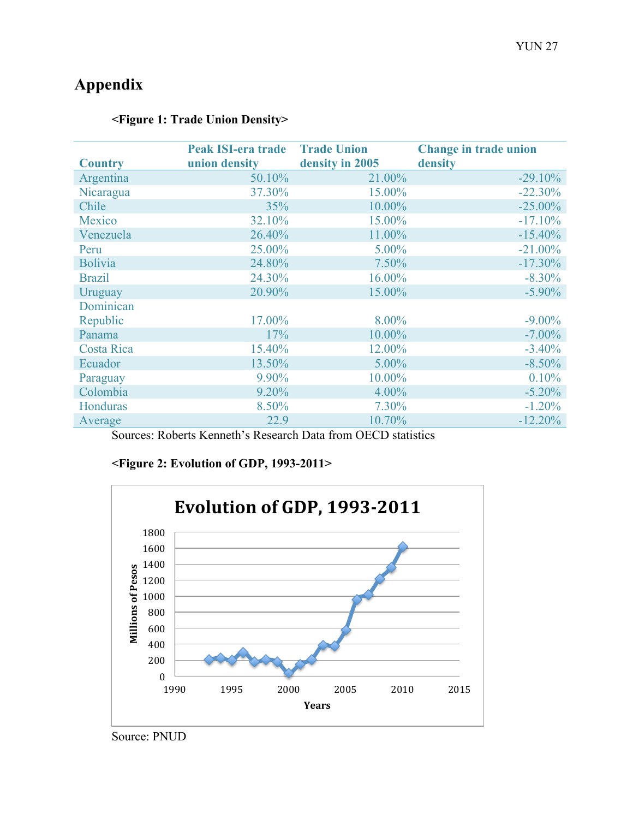# **Appendix**

| <b>Country</b>    | <b>Peak ISI-era trade</b><br>union density | <b>Trade Union</b><br>density in 2005 | <b>Change in trade union</b><br>density |
|-------------------|--------------------------------------------|---------------------------------------|-----------------------------------------|
| Argentina         | 50.10%                                     | 21.00%                                | $-29.10%$                               |
| Nicaragua         | 37.30%                                     | 15.00%                                | $-22.30%$                               |
| Chile             | 35%                                        | 10.00%                                | $-25.00\%$                              |
| Mexico            | 32.10%                                     | 15.00%                                | $-17.10%$                               |
| Venezuela         | 26.40%                                     | 11.00%                                | $-15.40\%$                              |
| Peru              | 25.00%                                     | 5.00%                                 | $-21.00\%$                              |
| <b>Bolivia</b>    | 24.80%                                     | 7.50%                                 | $-17.30\%$                              |
| <b>Brazil</b>     | 24.30%                                     | 16.00%                                | $-8.30\%$                               |
| Uruguay           | 20.90%                                     | 15.00%                                | $-5.90\%$                               |
| Dominican         |                                            |                                       |                                         |
| Republic          | 17.00%                                     | 8.00%                                 | $-9.00\%$                               |
| Panama            | 17%                                        | 10.00%                                | $-7.00\%$                               |
| <b>Costa Rica</b> | 15.40%                                     | 12.00%                                | $-3.40%$                                |
| Ecuador           | 13.50%                                     | 5.00%                                 | $-8.50%$                                |
| Paraguay          | 9.90%                                      | 10.00%                                | 0.10%                                   |
| Colombia          | 9.20%                                      | 4.00%                                 | $-5.20%$                                |
| Honduras          | 8.50%                                      | 7.30%                                 | $-1.20%$                                |
| Average           | 22.9                                       | 10.70%                                | $-12.20%$                               |

## **<Figure 1: Trade Union Density>**

Sources: Roberts Kenneth's Research Data from OECD statistics

## **<Figure 2: Evolution of GDP, 1993-2011>**



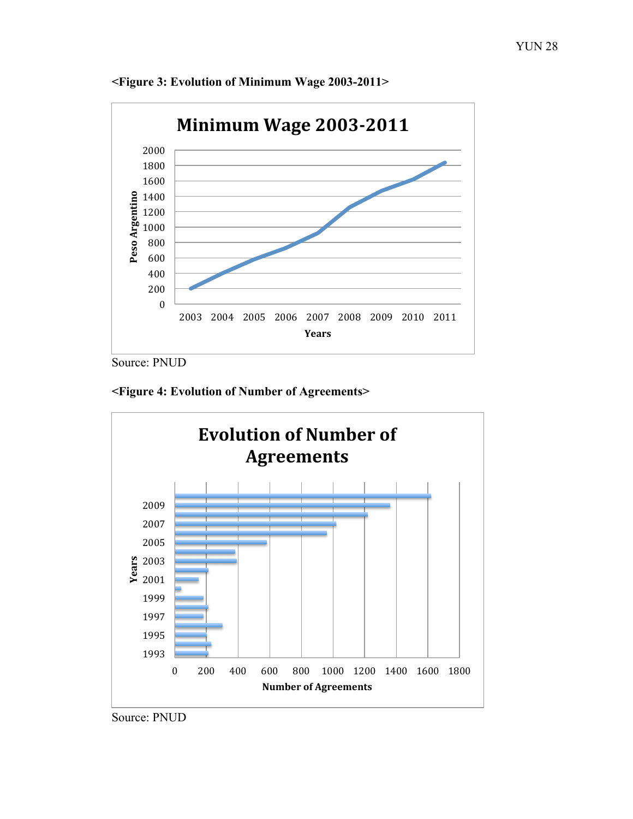

**<Figure 3: Evolution of Minimum Wage 2003-2011>**

Source: PNUD





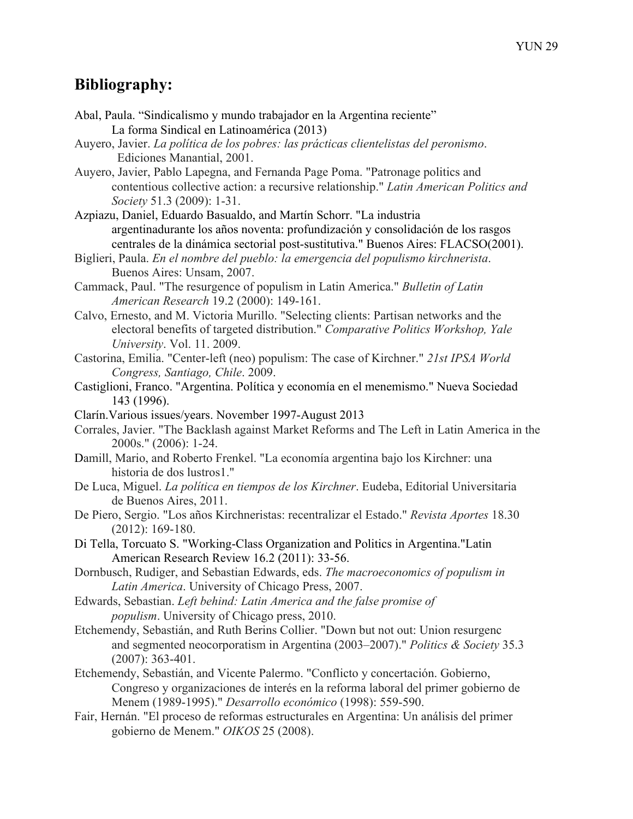## **Bibliography:**

- Abal, Paula. "Sindicalismo y mundo trabajador en la Argentina reciente" La forma Sindical en Latinoamérica (2013)
- Auyero, Javier. *La política de los pobres: las prácticas clientelistas del peronismo*. Ediciones Manantial, 2001.
- Auyero, Javier, Pablo Lapegna, and Fernanda Page Poma. "Patronage politics and contentious collective action: a recursive relationship." *Latin American Politics and Society* 51.3 (2009): 1-31.
- Azpiazu, Daniel, Eduardo Basualdo, and Martín Schorr. "La industria argentinadurante los años noventa: profundización y consolidación de los rasgos centrales de la dinámica sectorial post-sustitutiva." Buenos Aires: FLACSO(2001).
- Biglieri, Paula. *En el nombre del pueblo: la emergencia del populismo kirchnerista*. Buenos Aires: Unsam, 2007.
- Cammack, Paul. "The resurgence of populism in Latin America." *Bulletin of Latin American Research* 19.2 (2000): 149-161.
- Calvo, Ernesto, and M. Victoria Murillo. "Selecting clients: Partisan networks and the electoral benefits of targeted distribution." *Comparative Politics Workshop, Yale University*. Vol. 11. 2009.
- Castorina, Emilia. "Center-left (neo) populism: The case of Kirchner." *21st IPSA World Congress, Santiago, Chile*. 2009.
- Castiglioni, Franco. "Argentina. Política y economía en el menemismo." Nueva Sociedad 143 (1996).
- Clarín.Various issues/years. November 1997-August 2013
- Corrales, Javier. "The Backlash against Market Reforms and The Left in Latin America in the 2000s." (2006): 1-24.
- Damill, Mario, and Roberto Frenkel. "La economía argentina bajo los Kirchner: una historia de dos lustros1."
- De Luca, Miguel. *La política en tiempos de los Kirchner*. Eudeba, Editorial Universitaria de Buenos Aires, 2011.
- De Piero, Sergio. "Los años Kirchneristas: recentralizar el Estado." *Revista Aportes* 18.30 (2012): 169-180.
- Di Tella, Torcuato S. "Working-Class Organization and Politics in Argentina."Latin American Research Review 16.2 (2011): 33-56.
- Dornbusch, Rudiger, and Sebastian Edwards, eds. *The macroeconomics of populism in Latin America*. University of Chicago Press, 2007.
- Edwards, Sebastian. *Left behind: Latin America and the false promise of populism*. University of Chicago press, 2010.
- Etchemendy, Sebastián, and Ruth Berins Collier. "Down but not out: Union resurgenc and segmented neocorporatism in Argentina (2003–2007)." *Politics & Society* 35.3 (2007): 363-401.
- Etchemendy, Sebastián, and Vicente Palermo. "Conflicto y concertación. Gobierno, Congreso y organizaciones de interés en la reforma laboral del primer gobierno de Menem (1989-1995)." *Desarrollo económico* (1998): 559-590.
- Fair, Hernán. "El proceso de reformas estructurales en Argentina: Un análisis del primer gobierno de Menem." *OIKOS* 25 (2008).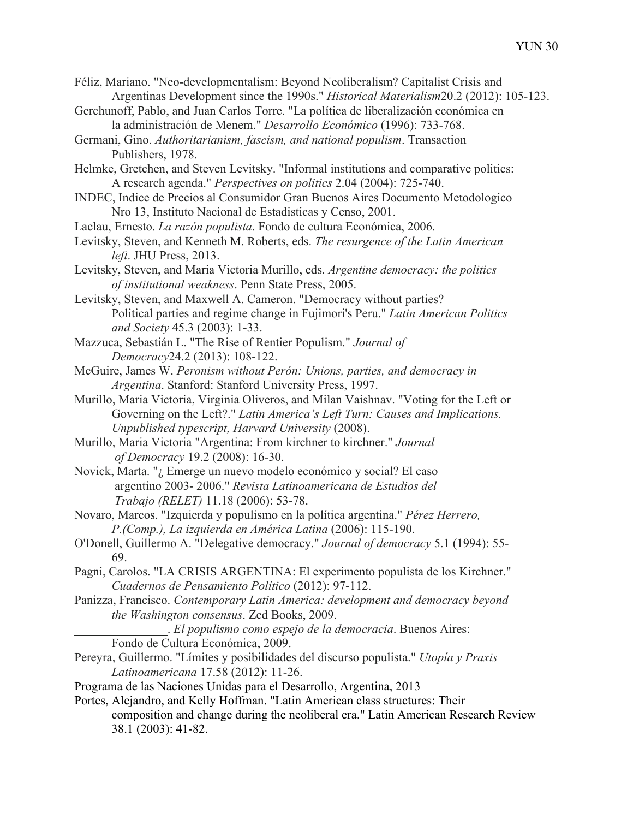- Féliz, Mariano. "Neo-developmentalism: Beyond Neoliberalism? Capitalist Crisis and Argentinas Development since the 1990s." *Historical Materialism*20.2 (2012): 105-123.
- Gerchunoff, Pablo, and Juan Carlos Torre. "La política de liberalización económica en la administración de Menem." *Desarrollo Económico* (1996): 733-768.
- Germani, Gino. *Authoritarianism, fascism, and national populism*. Transaction Publishers, 1978.
- Helmke, Gretchen, and Steven Levitsky. "Informal institutions and comparative politics: A research agenda." *Perspectives on politics* 2.04 (2004): 725-740.
- INDEC, Indice de Precios al Consumidor Gran Buenos Aires Documento Metodologico Nro 13, Instituto Nacional de Estadisticas y Censo, 2001.
- Laclau, Ernesto. *La razón populista*. Fondo de cultura Económica, 2006.
- Levitsky, Steven, and Kenneth M. Roberts, eds. *The resurgence of the Latin American left*. JHU Press, 2013.
- Levitsky, Steven, and Maria Victoria Murillo, eds. *Argentine democracy: the politics of institutional weakness*. Penn State Press, 2005.
- Levitsky, Steven, and Maxwell A. Cameron. "Democracy without parties? Political parties and regime change in Fujimori's Peru." *Latin American Politics and Society* 45.3 (2003): 1-33.
- Mazzuca, Sebastián L. "The Rise of Rentier Populism." *Journal of Democracy*24.2 (2013): 108-122.
- McGuire, James W. *Peronism without Perón: Unions, parties, and democracy in Argentina*. Stanford: Stanford University Press, 1997.
- Murillo, Maria Victoria, Virginia Oliveros, and Milan Vaishnav. "Voting for the Left or Governing on the Left?." *Latin America's Left Turn: Causes and Implications. Unpublished typescript, Harvard University* (2008).
- Murillo, Maria Victoria "Argentina: From kirchner to kirchner." *Journal of Democracy* 19.2 (2008): 16-30.
- Novick, Marta. "¿ Emerge un nuevo modelo económico y social? El caso argentino 2003- 2006." *Revista Latinoamericana de Estudios del Trabajo (RELET)* 11.18 (2006): 53-78.
- Novaro, Marcos. "Izquierda y populismo en la política argentina." *Pérez Herrero, P.(Comp.), La izquierda en América Latina* (2006): 115-190.
- O'Donell, Guillermo A. "Delegative democracy." *Journal of democracy* 5.1 (1994): 55- 69.
- Pagni, Carolos. "LA CRISIS ARGENTINA: El experimento populista de los Kirchner." *Cuadernos de Pensamiento Político* (2012): 97-112.
- Panizza, Francisco. *Contemporary Latin America: development and democracy beyond the Washington consensus*. Zed Books, 2009.
	- . *El populismo como espejo de la democracia*. Buenos Aires: Fondo de Cultura Económica, 2009.
- Pereyra, Guillermo. "Límites y posibilidades del discurso populista." *Utopía y Praxis Latinoamericana* 17.58 (2012): 11-26.
- Programa de las Naciones Unidas para el Desarrollo, Argentina, 2013
- Portes, Alejandro, and Kelly Hoffman. "Latin American class structures: Their composition and change during the neoliberal era." Latin American Research Review 38.1 (2003): 41-82.